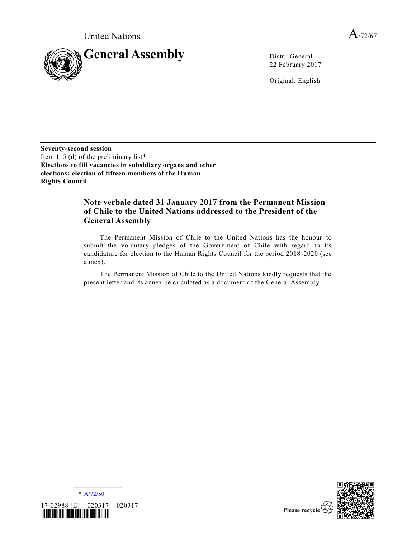

22 February 2017

Original: English

**Seventy-second session** Item 115 (d) of the preliminary list\* **Elections to fill vacancies in subsidiary organs and other elections: election of fifteen members of the Human Rights Council**

# **Note verbale dated 31 January 2017 from the Permanent Mission of Chile to the United Nations addressed to the President of the General Assembly**

The Permanent Mission of Chile to the United Nations has the honour to submit the voluntary pledges of the Government of Chile with regard to its candidature for election to the Human Rights Council for the period 2018 -2020 (see annex).

The Permanent Mission of Chile to the United Nations kindly requests that the present letter and its annex be circulated as a document of the General Assembly.



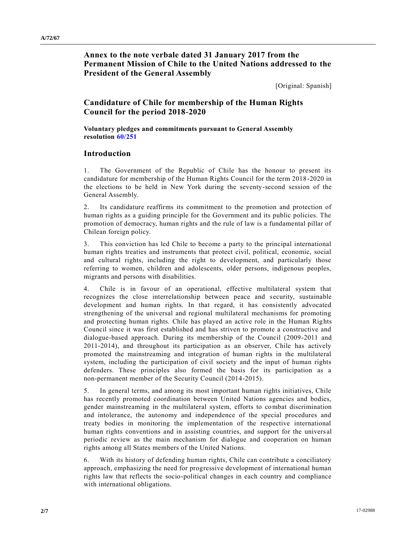**Annex to the note verbale dated 31 January 2017 from the Permanent Mission of Chile to the United Nations addressed to the President of the General Assembly**

[Original: Spanish]

# **Candidature of Chile for membership of the Human Rights Council for the period 2018-2020**

**Voluntary pledges and commitments pursuant to General Assembly resolution [60/251](http://undocs.org/A/RES/60/251)**

# **Introduction**

1. The Government of the Republic of Chile has the honour to present its candidature for membership of the Human Rights Council for the term 2018 -2020 in the elections to be held in New York during the seventy-second session of the General Assembly.

2. Its candidature reaffirms its commitment to the promotion and protection of human rights as a guiding principle for the Government and its public policies. The promotion of democracy, human rights and the rule of law is a fundamental pillar of Chilean foreign policy.

3. This conviction has led Chile to become a party to the principal international human rights treaties and instruments that protect civil, political, economic, social and cultural rights, including the right to development, and particularly those referring to women, children and adolescents, older persons, indigenous peoples, migrants and persons with disabilities.

4. Chile is in favour of an operational, effective multilateral system that recognizes the close interrelationship between peace and security, sustainable development and human rights. In that regard, it has consistently advocated strengthening of the universal and regional multilateral mechanisms for promoting and protecting human rights. Chile has played an active role in the Human Rights Council since it was first established and has striven to promote a constructive and dialogue-based approach. During its membership of the Council (2009-2011 and 2011-2014), and throughout its participation as an observer, Chile has actively promoted the mainstreaming and integration of human rights in the multilateral system, including the participation of civil society and the input of human rights defenders. These principles also formed the basis for its participation as a non-permanent member of the Security Council (2014-2015).

5. In general terms, and among its most important human rights initiatives, Chile has recently promoted coordination between United Nations agencies and bodies, gender mainstreaming in the multilateral system, efforts to combat discrimination and intolerance, the autonomy and independence of the special procedures and treaty bodies in monitoring the implementation of the respective international human rights conventions and in assisting countries, and support for the univers al periodic review as the main mechanism for dialogue and cooperation on human rights among all States members of the United Nations.

6. With its history of defending human rights, Chile can contribute a conciliatory approach, emphasizing the need for progressive development of international human rights law that reflects the socio-political changes in each country and compliance with international obligations.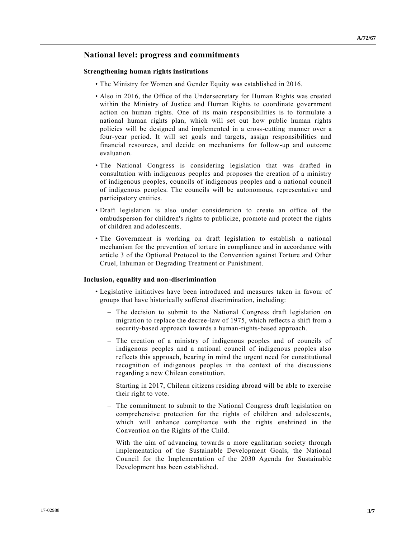# **National level: progress and commitments**

# **Strengthening human rights institutions**

- The Ministry for Women and Gender Equity was established in 2016.
- Also in 2016, the Office of the Undersecretary for Human Rights was created within the Ministry of Justice and Human Rights to coordinate government action on human rights. One of its main responsibilities is to formulate a national human rights plan, which will set out how public human rights policies will be designed and implemented in a cross-cutting manner over a four-year period. It will set goals and targets, assign responsibilities and financial resources, and decide on mechanisms for follow-up and outcome evaluation.
- The National Congress is considering legislation that was drafted in consultation with indigenous peoples and proposes the creation of a ministry of indigenous peoples, councils of indigenous peoples and a national council of indigenous peoples. The councils will be autonomous, representative and participatory entities.
- Draft legislation is also under consideration to create an office of the ombudsperson for children's rights to publicize, promote and protect the rights of children and adolescents.
- The Government is working on draft legislation to establish a national mechanism for the prevention of torture in compliance and in accordance with article 3 of the Optional Protocol to the Convention against Torture and Other Cruel, Inhuman or Degrading Treatment or Punishment.

#### **Inclusion, equality and non-discrimination**

- Legislative initiatives have been introduced and measures taken in favour of groups that have historically suffered discrimination, including:
	- The decision to submit to the National Congress draft legislation on migration to replace the decree-law of 1975, which reflects a shift from a security-based approach towards a human-rights-based approach.
	- The creation of a ministry of indigenous peoples and of councils of indigenous peoples and a national council of indigenous peoples also reflects this approach, bearing in mind the urgent need for constitutional recognition of indigenous peoples in the context of the discussions regarding a new Chilean constitution.
	- Starting in 2017, Chilean citizens residing abroad will be able to exercise their right to vote.
	- The commitment to submit to the National Congress draft legislation on comprehensive protection for the rights of children and adolescents, which will enhance compliance with the rights enshrined in the Convention on the Rights of the Child.
	- With the aim of advancing towards a more egalitarian society through implementation of the Sustainable Development Goals, the National Council for the Implementation of the 2030 Agenda for Sustainable Development has been established.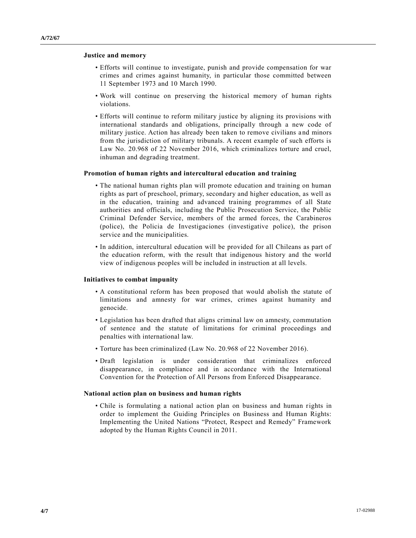## **Justice and memory**

- Efforts will continue to investigate, punish and provide compensation for war crimes and crimes against humanity, in particular those committed between 11 September 1973 and 10 March 1990.
- Work will continue on preserving the historical memory of human rights violations.
- Efforts will continue to reform military justice by aligning its provisions with international standards and obligations, principally through a new code of military justice. Action has already been taken to remove civilians and minors from the jurisdiction of military tribunals. A recent example of such efforts is Law No. 20.968 of 22 November 2016, which criminalizes torture and cruel, inhuman and degrading treatment.

# **Promotion of human rights and intercultural education and training**

- The national human rights plan will promote education and training on human rights as part of preschool, primary, secondary and higher education, as well as in the education, training and advanced training programmes of all State authorities and officials, including the Public Prosecution Service, the Public Criminal Defender Service, members of the armed forces, the Carabineros (police), the Policia de Investigaciones (investigative police), the prison service and the municipalities.
- In addition, intercultural education will be provided for all Chileans as part of the education reform, with the result that indigenous history and the world view of indigenous peoples will be included in instruction at all levels.

## **Initiatives to combat impunity**

- A constitutional reform has been proposed that would abolish the statute of limitations and amnesty for war crimes, crimes against humanity and genocide.
- Legislation has been drafted that aligns criminal law on amnesty, commutation of sentence and the statute of limitations for criminal proceedings and penalties with international law.
- Torture has been criminalized (Law No. 20.968 of 22 November 2016).
- Draft legislation is under consideration that criminalizes enforced disappearance, in compliance and in accordance with the International Convention for the Protection of All Persons from Enforced Disappearance.

#### **National action plan on business and human rights**

• Chile is formulating a national action plan on business and human rights in order to implement the Guiding Principles on Business and Human Rights: Implementing the United Nations "Protect, Respect and Remedy" Framework adopted by the Human Rights Council in 2011.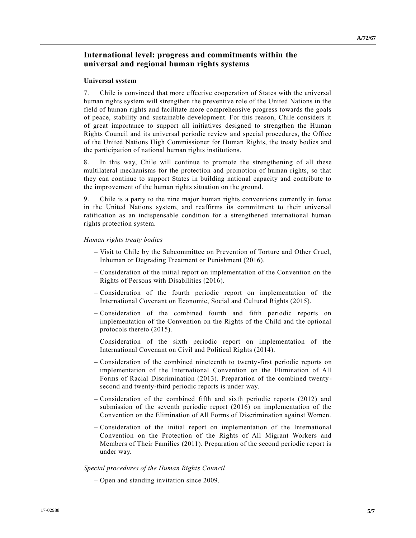# **International level: progress and commitments within the universal and regional human rights systems**

# **Universal system**

7. Chile is convinced that more effective cooperation of States with the universal human rights system will strengthen the preventive role of the United Nations in the field of human rights and facilitate more comprehensive progress towards the goals of peace, stability and sustainable development. For this reason, Chile considers it of great importance to support all initiatives designed to strengthen the Human Rights Council and its universal periodic review and special procedures, the Office of the United Nations High Commissioner for Human Rights, the treaty bodies and the participation of national human rights institutions.

8. In this way, Chile will continue to promote the strengthening of all these multilateral mechanisms for the protection and promotion of human rights, so that they can continue to support States in building national capacity and contribute to the improvement of the human rights situation on the ground.

9. Chile is a party to the nine major human rights conventions currently in force in the United Nations system, and reaffirms its commitment to their universal ratification as an indispensable condition for a strengthened international human rights protection system.

#### *Human rights treaty bodies*

- Visit to Chile by the Subcommittee on Prevention of Torture and Other Cruel, Inhuman or Degrading Treatment or Punishment (2016).
- Consideration of the initial report on implementation of the Convention on the Rights of Persons with Disabilities (2016).
- Consideration of the fourth periodic report on implementation of the International Covenant on Economic, Social and Cultural Rights (2015).
- Consideration of the combined fourth and fifth periodic reports on implementation of the Convention on the Rights of the Child and the optional protocols thereto (2015).
- Consideration of the sixth periodic report on implementation of the International Covenant on Civil and Political Rights (2014).
- Consideration of the combined nineteenth to twenty-first periodic reports on implementation of the International Convention on the Elimination of All Forms of Racial Discrimination (2013). Preparation of the combined twentysecond and twenty-third periodic reports is under way.
- Consideration of the combined fifth and sixth periodic reports (2012) and submission of the seventh periodic report (2016) on implementation of the Convention on the Elimination of All Forms of Discrimination against Women.
- Consideration of the initial report on implementation of the International Convention on the Protection of the Rights of All Migrant Workers and Members of Their Families (2011). Preparation of the second periodic report is under way.

#### *Special procedures of the Human Rights Council*

– Open and standing invitation since 2009.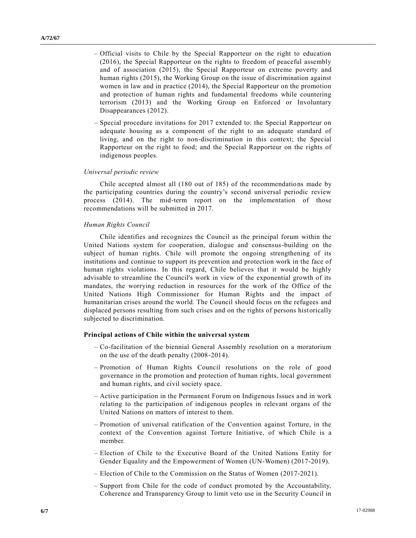- Official visits to Chile by the Special Rapporteur on the right to education (2016), the Special Rapporteur on the rights to freedom of peaceful assembly and of association (2015), the Special Rapporteur on extreme poverty and human rights (2015), the Working Group on the issue of discrimination against women in law and in practice (2014), the Special Rapporteur on the promotion and protection of human rights and fundamental freedoms while countering terrorism (2013) and the Working Group on Enforced or Involuntary Disappearances (2012).
- Special procedure invitations for 2017 extended to: the Special Rapporteur on adequate housing as a component of the right to an adequate standard of living, and on the right to non-discrimination in this context; the Special Rapporteur on the right to food; and the Special Rapporteur on the rights of indigenous peoples.

## *Universal periodic review*

Chile accepted almost all (180 out of 185) of the recommendations made by the participating countries during the country's second universal periodic review process (2014). The mid-term report on the implementation of those recommendations will be submitted in 2017.

## *Human Rights Council*

Chile identifies and recognizes the Council as the principal forum within the United Nations system for cooperation, dialogue and consensus-building on the subject of human rights. Chile will promote the ongoing strengthening of its institutions and continue to support its prevention and protection work in the face of human rights violations. In this regard, Chile believes that it would be highly advisable to streamline the Council's work in view of the exponential growth of its mandates, the worrying reduction in resources for the work of the Office of the United Nations High Commissioner for Human Rights and the impact of humanitarian crises around the world. The Council should focus on the refugees and displaced persons resulting from such crises and on the rights of persons historically subjected to discrimination.

# **Principal actions of Chile within the universal system**

- Co-facilitation of the biennial General Assembly resolution on a moratorium on the use of the death penalty (2008-2014).
- Promotion of Human Rights Council resolutions on the role of good governance in the promotion and protection of human rights, local government and human rights, and civil society space.
- Active participation in the Permanent Forum on Indigenous Issues and in work relating to the participation of indigenous peoples in relevant organs of the United Nations on matters of interest to them.
- Promotion of universal ratification of the Convention against Torture, in the context of the Convention against Torture Initiative, of which Chile is a member.
- Election of Chile to the Executive Board of the United Nations Entity for Gender Equality and the Empowerment of Women (UN-Women) (2017-2019).
- Election of Chile to the Commission on the Status of Women (2017-2021).
- Support from Chile for the code of conduct promoted by the Accountability, Coherence and Transparency Group to limit veto use in the Security Council in